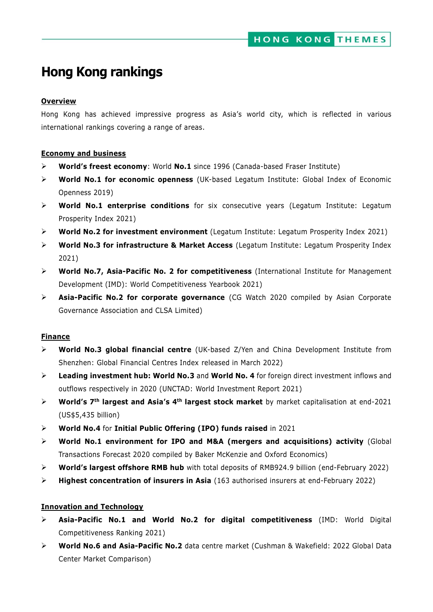# **Hong Kong rankings**

### **Overview**

Hong Kong has achieved impressive progress as Asia's world city, which is reflected in various international rankings covering a range of areas.

### **Economy and business**

- **World's freest economy**: World **No.1** since 1996 (Canada-based Fraser Institute)
- **World No.1 for economic openness** (UK-based Legatum Institute: Global Index of Economic Openness 2019)
- **World No.1 enterprise conditions** for six consecutive years (Legatum Institute: Legatum Prosperity Index 2021)
- **World No.2 for investment environment** (Legatum Institute: Legatum Prosperity Index 2021)
- **World No.3 for infrastructure & Market Access** (Legatum Institute: Legatum Prosperity Index 2021)
- **World No.7, Asia-Pacific No. 2 for competitiveness** (International Institute for Management Development (IMD): World Competitiveness Yearbook 2021)
- **Asia-Pacific No.2 for corporate governance** (CG Watch 2020 compiled by Asian Corporate Governance Association and CLSA Limited)

### **Finance**

- **World No.3 global financial centre** (UK-based Z/Yen and China Development Institute from Shenzhen: Global Financial Centres Index released in March 2022)
- **Leading investment hub: World No.3** and **World No. 4** for foreign direct investment inflows and outflows respectively in 2020 (UNCTAD: World Investment Report 2021)
- **World's 7th largest and Asia's 4th largest stock market** by market capitalisation at end-2021 (US\$5,435 billion)
- **World No.4** for **Initial Public Offering (IPO) funds raised** in 2021
- **World No.1 environment for IPO and M&A (mergers and acquisitions) activity** (Global Transactions Forecast 2020 compiled by Baker McKenzie and Oxford Economics)
- **World's largest offshore RMB hub** with total deposits of RMB924.9 billion (end-February 2022)
- **Highest concentration of insurers in Asia** (163 authorised insurers at end-February 2022)

### **Innovation and Technology**

- **Asia-Pacific No.1 and World No.2 for digital competitiveness** (IMD: World Digital Competitiveness Ranking 2021)
- **World No.6 and Asia-Pacific No.2** data centre market (Cushman & Wakefield: 2022 Global Data Center Market Comparison)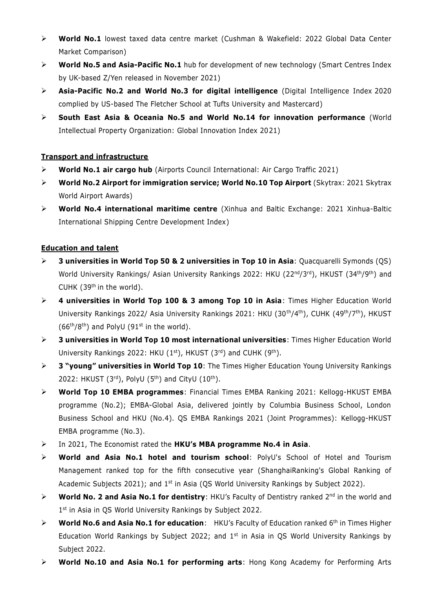- **World No.1** lowest taxed data centre market (Cushman & Wakefield: 2022 Global Data Center Market Comparison)
- **World No.5 and Asia-Pacific No.1** hub for development of new technology (Smart Centres Index by UK-based Z/Yen released in November 2021)
- **Asia-Pacific No.2 and World No.3 for digital intelligence** (Digital Intelligence Index 2020 complied by US-based The [Fletcher School at Tufts University](https://www.facebook.com/fletcherschool/?fref=mentions&__xts__%5B0%5D=68.ARBcTLwdzOlpJ-8oplIuAxkF4v0dlM6z3GNtrUF0tKkZHqp3rpJLoDniVLXMNnZTVV-iaTU9zq_Qlq2IQ9G1uG7VY_1ztj-6QjSliuvqBtNjcmWRskHMgg2a64pSeg5N4ZeZLqG3dV_ztDrHrstTLLTc5MNnYu3au5DzqtYjopY9c3YbFsIpLCXdOYzmBD6p0FF0m6E9QujKHAhSaff607KWu5wS_TJ9rB75hmXID9sZkR4YATln1Qc9tQPdYewGYDyj2_wb9RbIuHiy0wyjosTmECnG95InXDakDbyhoE_iTl8TJ0e6N9SuogvzBBn0ZWmrtCxtK__eeFtyBQdAR_IOLC0_vHFfaPpez6swE6Pxyv9R1e1G8SlGTR3VcezsPt7OLnVE&__tn__=K-R) and Mastercard)
- **South East Asia & Oceania No.5 and World No.14 for innovation performance** (World Intellectual Property Organization: Global Innovation Index 2021)

# **Transport and infrastructure**

- **World No.1 air cargo hub** (Airports Council International: Air Cargo Traffic 2021)
- **World No.2 Airport for immigration service; World No.10 Top Airport** (Skytrax: 2021 Skytrax World Airport Awards)
- **World No.4 international maritime centre** (Xinhua and Baltic Exchange: 2021 Xinhua-Baltic International Shipping Centre Development Index)

# **Education and talent**

- **3 universities in World Top 50 & 2 universities in Top 10 in Asia**: Quacquarelli Symonds (QS) World University Rankings/ Asian University Rankings 2022: HKU (22<sup>nd</sup>/3<sup>rd</sup>), HKUST (34<sup>th</sup>/9<sup>th</sup>) and CUHK  $(39<sup>th</sup>$  in the world).
- **4 universities in World Top 100 & 3 among Top 10 in Asia**: Times Higher Education World University Rankings 2022/ Asia University Rankings 2021: HKU (30<sup>th</sup>/4<sup>th</sup>), CUHK (49<sup>th</sup>/7<sup>th</sup>), HKUST  $(66<sup>th</sup>/8<sup>th</sup>)$  and PolyU (91<sup>st</sup> in the world).
- **3 universities in World Top 10 most international universities**: Times Higher Education World University Rankings 2022: HKU  $(1^{st})$ , HKUST  $(3^{rd})$  and CUHK  $(9^{th})$ .
- **3 "young" universities in World Top 10**: The Times Higher Education Young University Rankings 2022: HKUST  $(3<sup>rd</sup>)$ , PolyU  $(5<sup>th</sup>)$  and CityU  $(10<sup>th</sup>)$ .
- **World Top 10 EMBA programmes**: Financial Times EMBA Ranking 2021: Kellogg-HKUST EMBA programme (No.2); EMBA-Global Asia, delivered jointly by Columbia Business School, London Business School and HKU (No.4). QS EMBA Rankings 2021 (Joint Programmes): Kellogg-HKUST EMBA programme (No.3).
- In 2021, The Economist rated the **HKU's MBA programme No.4 in Asia**.
- **World and Asia No.1 hotel and tourism school**: PolyU's School of Hotel and Tourism Management ranked top for the fifth consecutive year (ShanghaiRanking's Global Ranking of Academic Subjects 2021); and 1<sup>st</sup> in Asia (QS World University Rankings by Subject 2022).
- **EXECT Morld No. 2 and Asia No.1 for dentistry:** HKU's Faculty of Dentistry ranked 2<sup>nd</sup> in the world and 1<sup>st</sup> in Asia in QS World University Rankings by Subject 2022.
- **EXECT Morld No.6 and Asia No.1 for education:** HKU's Faculty of Education ranked 6<sup>th</sup> in Times Higher Education World Rankings by Subject 2022; and  $1<sup>st</sup>$  in Asia in QS World University Rankings by Subject 2022.
- **World No.10 and Asia No.1 for performing arts**: Hong Kong Academy for Performing Arts